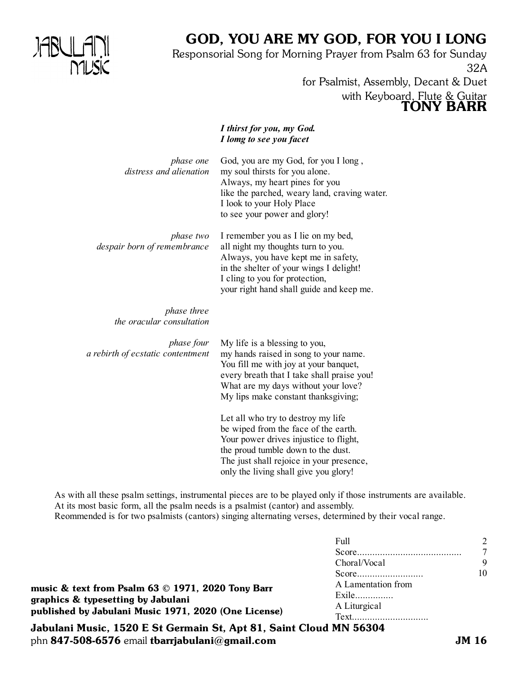

## GOD, YOU ARE MY GOD, FOR YOU I LONG

Responsorial Song for Morning Prayer from Psalm 63 for Sunday 32A for Psalmist, Assembly, Decant & Duet

with Keyboard, Flute & Guitar

TONY BARR

*I thirst for you, my God. I lomg to see you facet* God, you are my God, for you I long , my soul thirsts for you alone. Always, my heart pines for you like the parched, weary land, craving water. I look to your Holy Place to see your power and glory! I remember you as I lie on my bed, all night my thoughts turn to you. Always, you have kept me in safety, in the shelter of your wings I delight! I cling to you for protection, your right hand shall guide and keep me. My life is a blessing to you, my hands raised in song to your name. You fill me with joy at your banquet, every breath that I take shall praise you! What are my days without your love? My lips make constant thanksgiving; Let all who try to destroy my life be wiped from the face of the earth. Your power drives injustice to flight, the proud tumble down to the dust. The just shall rejoice in your presence, only the living shall give you glory! *phase one distress and alienation phase two despair born of remembrance phase three the oracular consultation phase four a rebirth of ecstatic contentment*

As with all these psalm settings, instrumental pieces are to be played only if those instruments are available. At its most basic form, all the psalm needs is a psalmist (cantor) and assembly. Reommended is for two psalmists (cantors) singing alternating verses, determined by their vocal range.

|                                                      | Full               |    |
|------------------------------------------------------|--------------------|----|
|                                                      | Choral/Vocal       | 9  |
| music & text from Psalm 63 © 1971, 2020 Tony Barr    |                    | 10 |
|                                                      | A Lamentation from |    |
| graphics & typesetting by Jabulani                   | Exile              |    |
| published by Jabulani Music 1971, 2020 (One License) | A Liturgical       |    |
|                                                      | Text               |    |

Jabulani Music, 1520 E St Germain St, Apt 81, Saint Cloud MN 56304 phn 847-508-6576 email tbarriabulani@gmail.com  $JM_1$  JM 16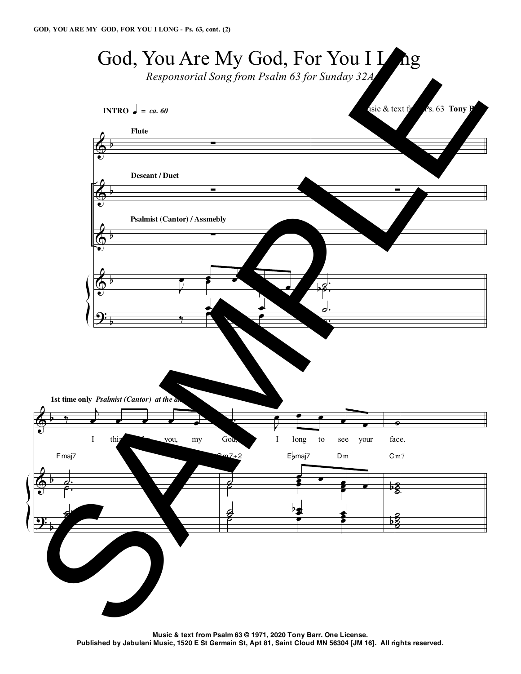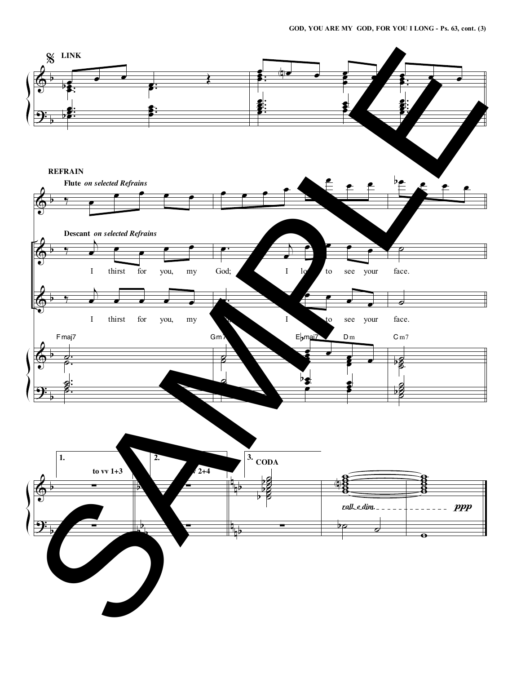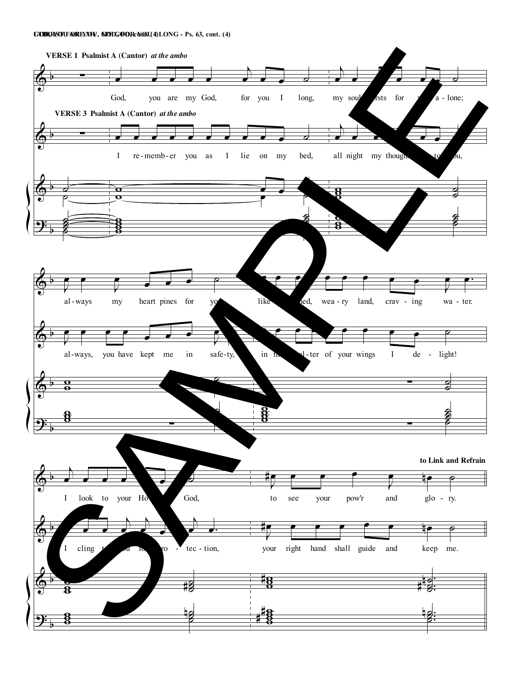## **GI TOHDI,RYSOTUFAORREYMOYU, GMOYDG, OFODR, cYonOt.U(4I)LONG - Ps. 63, cont. (4)**

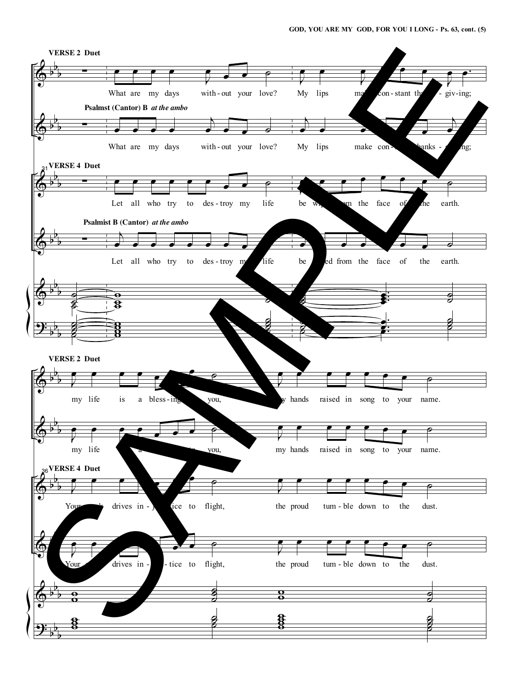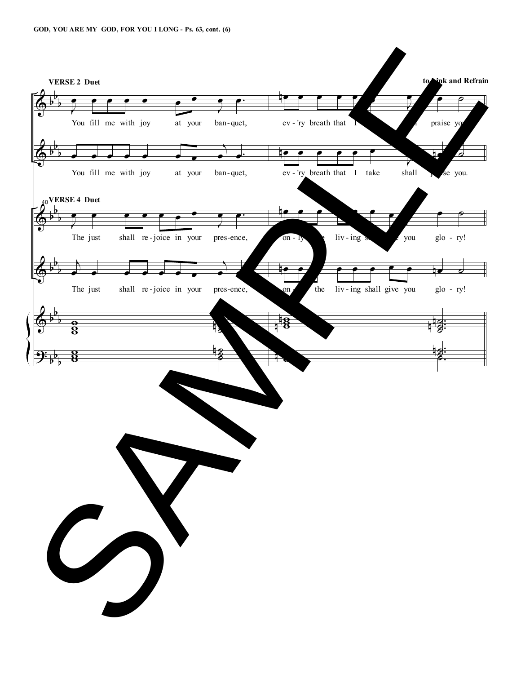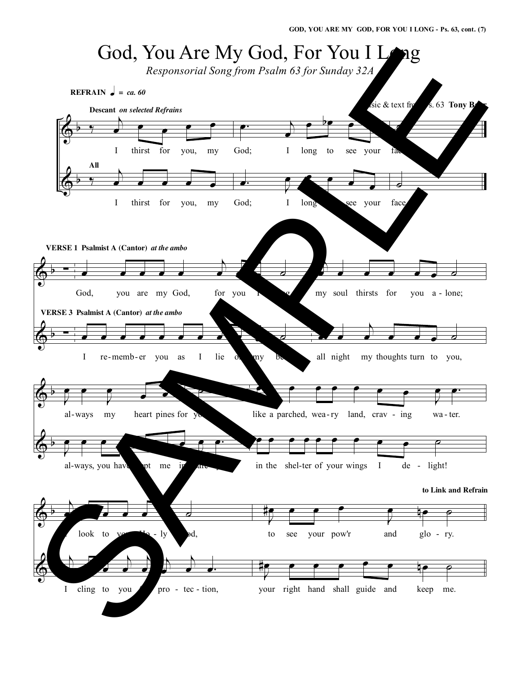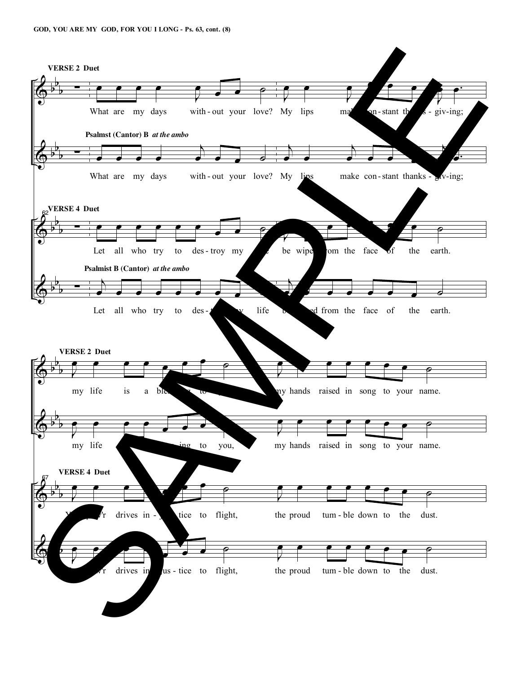